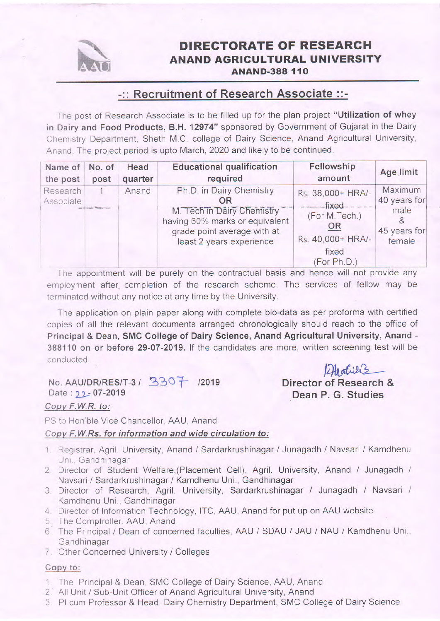

## DIRECTORATE OF RESEARCH ANAND AGRIGULTURAL UNIVERSITY **ANAND-388 110**

# -:: Recruitment of Research Associate ::-

The post of Research Associate is to be filled up for the plan project "Utilization of whey in Dairy and Food Products, B.H. 12974" sponsored by Government of Gujarat in the Dairy Chemistry Department, Sheth M.C. college of Dairy Science, Anand Agricultural University, Anand. The project period is upto March, 2020 and likely to be continued.

| Name of<br>the post   | No. of<br>post | Head<br>quarter | <b>Educational qualification</b><br>required                                                                                                              | Fellowship<br>amount                                                                                      | Age limit                                                 |
|-----------------------|----------------|-----------------|-----------------------------------------------------------------------------------------------------------------------------------------------------------|-----------------------------------------------------------------------------------------------------------|-----------------------------------------------------------|
| Research<br>Associate |                | Anand           | Ph.D. in Dairy Chemistry<br>OR<br>M. Tech in Dairy Chemistry<br>having 60% marks or equivalent<br>grade point average with at<br>least 2 years experience | Rs. 38,000+ HRA/-<br>$-- fixed$ $---$<br>(For M.Tech.)<br>OR<br>Rs. 40,000+ HRA/-<br>fixed<br>(For Ph.D.) | Maximum<br>40 years for<br>male<br>45 years for<br>female |
|                       |                |                 | The appointment will be purely on the contractual basis and hence will not provide any                                                                    |                                                                                                           |                                                           |

The appointment will be purely on the contractual basis and hence will not provide any employment after. completion of the research scheme. The services of fellow may be terminated without any notice at any time by the University.

The application on plain paper along with complete bio-data as per proforma with certified copies of all the relevant documents arranged chronologically should reach to the office of Principal & Dean, SMC College of Dairy Science, Anand Agricultural University, Anand - 388110 on or before 29-07-2019. If the candidates are more, written screening test will be conducted.

No. AAU/DR/RES/T-3 /  $3307$  /2019<br>Date:  $22.07 - 2019$ 

Copv F.W.R. to:

PS to Hon'ble Vice Chancellor, AAU, Anand

#### Copy F.W.Rs. for information and wide circulation to:

- 1 Registrar, Agril. University, Anand / Sardarkrushinagar / Junagadh / Navsari / Kamdhenu Uni. Gandhinagar
- 2 Director of Student Welfare,(Placement Cell), Agril. University, Anand / Junagadh / Navsari / Sardarkrushinagar / Kamdhenu Uni., Gandhinagar
- 3. Director of Research, Agril. University, Sardarkrushinagar / Junagadh / Navsari / Kamdhenu Uni., Gandhinagar
- 4 Director of Information Technology, lTC, AAU, Anand for put up on AAU website
- 5 The Comptroller, AAU, Anand.
- 6. The Principal / Dean of concerned faculties, AAU / SDAU / JAU / NAU / Kamdhenu Uni., Gandhinagar
- 7 Other Concerned University / Colleges

### copv to:

- 1, The Principal & Dean, SMC College of Dairy Science, AAU, Anand
- 2. All Unit / Sub-Unit Officer of Anand Agricultural University, Anand
- 3. Pl cum Professor & Head, Dairy Chemistry Deparlment, SMC College of Dairy Science

2 Medical<br>Director of Research & Dean P. G. Studies